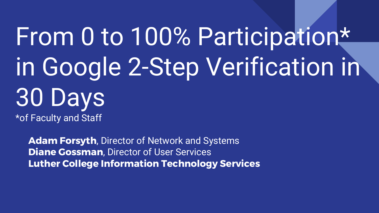# From 0 to 100% Participation\* in Google 2-Step Verification in 30 Days \*of Faculty and Staff

**Adam Forsyth**, Director of Network and Systems **Diane Gossman**, Director of User Services **Luther College Information Technology Services**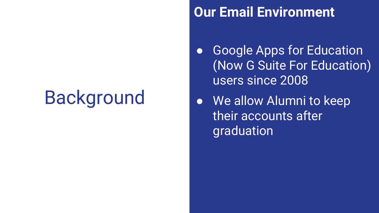#### **Our Email Environment**

- Google Apps for Education (Now G Suite For Education) users since 2008
- We allow Alumni to keep their accounts after graduation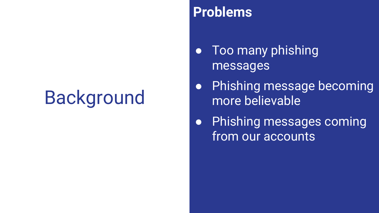#### **Problems**

- Too many phishing messages
- Phishing message becoming more believable
- Phishing messages coming from our accounts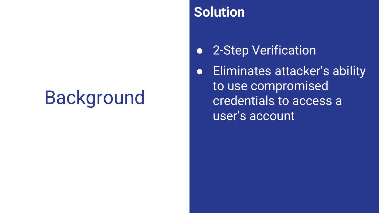#### **Solution**

- 2-Step Verification
- Eliminates attacker's ability to use compromised credentials to access a user's account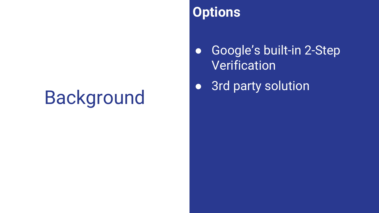#### **Options**

● Google's built-in 2-Step **Verification** 

● 3rd party solution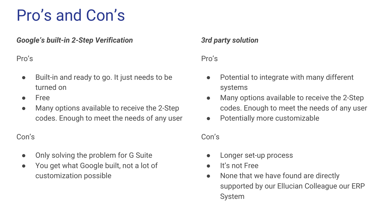### Pro's and Con's

*Google's built-in 2-Step Verification*

Pro's

- Built-in and ready to go. It just needs to be turned on
- Free
- Many options available to receive the 2-Step codes. Enough to meet the needs of any user

#### Con's

- Only solving the problem for G Suite
- You get what Google built, not a lot of customization possible

#### *3rd party solution*

#### Pro's

- Potential to integrate with many different systems
- Many options available to receive the 2-Step codes. Enough to meet the needs of any user
- Potentially more customizable

#### Con's

- Longer set-up process
- It's not Free
- None that we have found are directly supported by our Ellucian Colleague our ERP System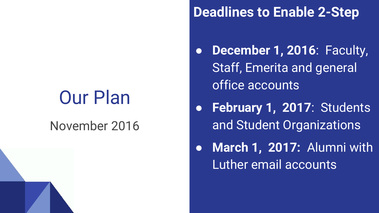#### November 2016

#### **Deadlines to Enable 2-Step**

- **December 1, 2016: Faculty,** Staff, Emerita and general office accounts
- February 1, 2017: Students and Student Organizations
- **March 1, 2017:** Alumni with Luther email accounts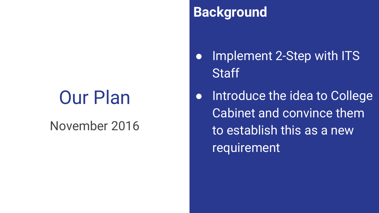#### November 2016

### **Background**

- Implement 2-Step with ITS **Staff**
- Introduce the idea to College Cabinet and convince them to establish this as a new requirement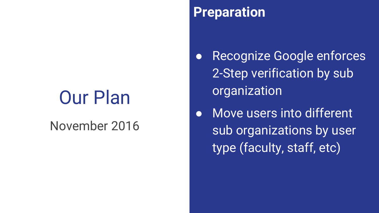#### November 2016

#### **Preparation**

Recognize Google enforces 2-Step verification by sub **organization** 

● Move users into different sub organizations by user type (faculty, staff, etc)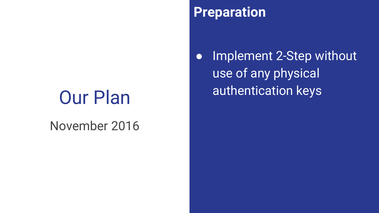#### November 2016

#### **Preparation**

• Implement 2-Step without use of any physical authentication keys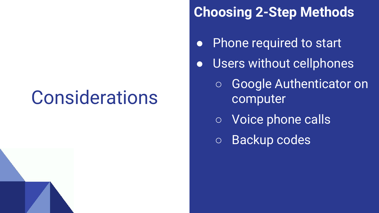### **Considerations**

### **Choosing 2-Step Methods**

- Phone required to start
- Users without cellphones
	- Google Authenticator on computer
	- Voice phone calls
	- Backup codes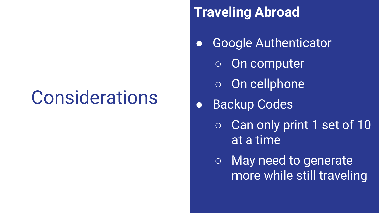### **Considerations**

### **Traveling Abroad**

- Google Authenticator
	- On computer
	- On cellphone
- Backup Codes
	- Can only print 1 set of 10 at a time

○ May need to generate more while still traveling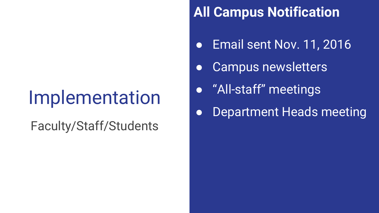Faculty/Staff/Students

### **All Campus Notification**

- Email sent Nov. 11, 2016
- Campus newsletters
- "All-staff" meetings
- Department Heads meeting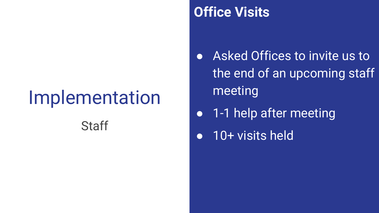#### **Office Visits**

- Asked Offices to invite us to the end of an upcoming staff meeting
- 1-1 help after meeting
- 10+ visits held Staff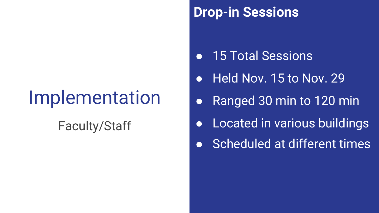#### Faculty/Staff

#### **Drop-in Sessions**

- 15 Total Sessions
- Held Nov. 15 to Nov. 29
- Ranged 30 min to 120 min
- Located in various buildings
- Scheduled at different times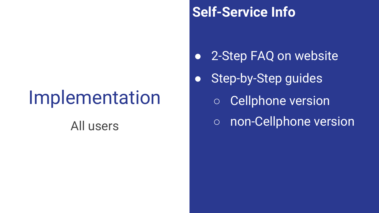### **Self-Service Info**

- 2-Step FAQ on website
- Step-by-Step guides
	- Cellphone version
- All users and the contract of the non-Cellphone version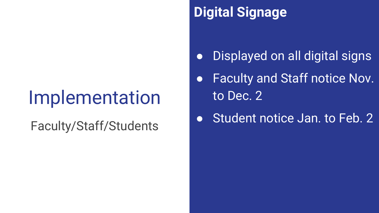### **Digital Signage**

- Displayed on all digital signs
- Faculty and Staff notice Nov. to Dec. 2
- Faculty/Staff/Students <br>  $\bullet$  Student notice Jan. to Feb. 2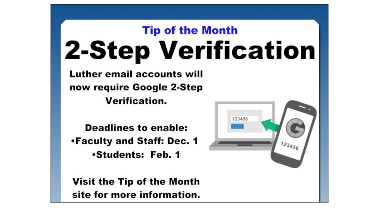### **Tip of the Month 2-Step Verification**

123456

Luther email accounts will now require Google 2-Step **Verification.** 

**Deadlines to enable:** •Faculty and Staff: Dec. 1 **.Students: Feb. 1** 

Visit the Tip of the Month site for more information.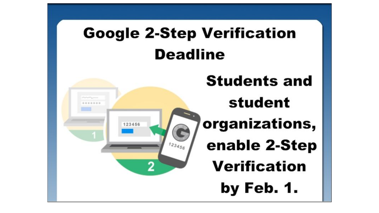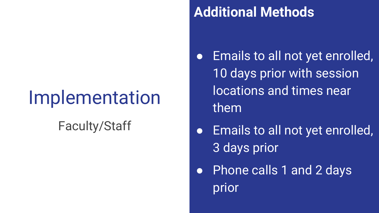### Faculty/Staff

### **Additional Methods**

- Emails to all not yet enrolled, 10 days prior with session locations and times near them
- **•** Emails to all not yet enrolled, 3 days prior
- Phone calls 1 and 2 days prior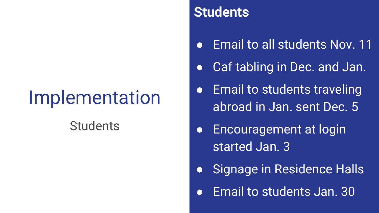#### **Students**

#### **Students**

- Email to all students Nov. 11
- Caf tabling in Dec. and Jan.
- **Email to students traveling** abroad in Jan. sent Dec. 5
- Encouragement at login started Jan. 3
- Signage in Residence Halls
- Email to students Jan. 30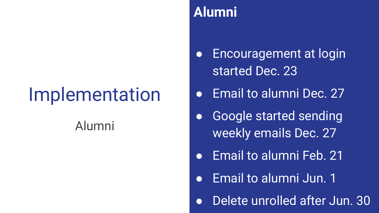#### Alumni

#### **Alumni**

- Encouragement at login started Dec. 23
- Email to alumni Dec. 27
- Google started sending weekly emails Dec. 27
- Email to alumni Feb. 21
- Email to alumni Jun. 1
- Delete unrolled after Jun. 30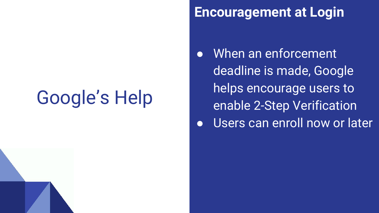# Google's Help

#### **Encouragement at Login**

- When an enforcement deadline is made, Google helps encourage users to enable 2-Step Verification
- **•** Users can enroll now or later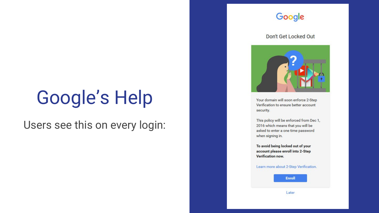### Google's Help

Users see this on every login:

#### Google

#### Don't Get Locked Out



Your domain will soon enforce 2-Step Verification to ensure better account security.

This policy will be enforced from Dec 1, 2016 which means that you will be asked to enter a one time password when signing in.

To avoid being locked out of your account please enroll into 2-Step **Verification now.** 

Learn more about 2-Step Verification.

Enroll

Later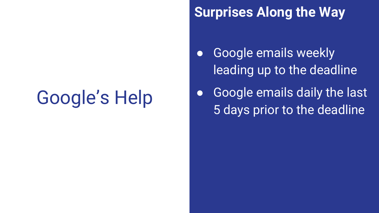# Google's Help

#### **Surprises Along the Way**

- Google emails weekly leading up to the deadline
- Google emails daily the last 5 days prior to the deadline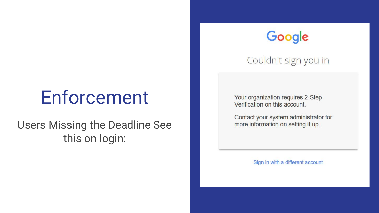### Enforcement

#### Users Missing the Deadline See this on login:



Couldn't sign you in

Your organization requires 2-Step Verification on this account.

Contact your system administrator for more information on setting it up.

Sign in with a different account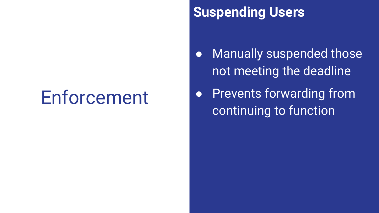### Enforcement

### **Suspending Users**

- Manually suspended those not meeting the deadline
- **•** Prevents forwarding from continuing to function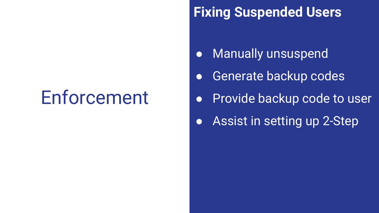### Enforcement

### **Fixing Suspended Users**

- Manually unsuspend
- **•** Generate backup codes
- Provide backup code to user
- Assist in setting up 2-Step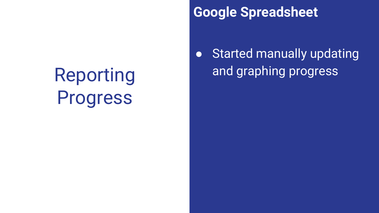# Reporting Progress

### **Google Spreadsheet**

**• Started manually updating** and graphing progress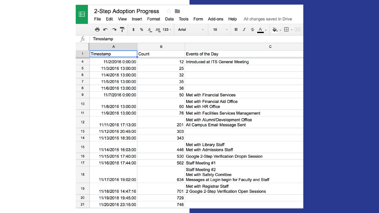| 2-Step Adoption Progress<br>55<br>囯<br>Edit View Insert Format<br>File<br>Data<br>Form Add-ons Help<br>All changes saved in Drive<br><b>Tools</b> |                                |                                    |                                                                                                          |
|---------------------------------------------------------------------------------------------------------------------------------------------------|--------------------------------|------------------------------------|----------------------------------------------------------------------------------------------------------|
|                                                                                                                                                   | ē.<br>7<br>$\sim$ $\sim$<br>\$ | % $.0$ $.00$ 123 -<br><b>Arial</b> | $\leftarrow$ - $\boxplus$ - $\boxplus$<br>$I - 5A$<br>10<br>B                                            |
| fx                                                                                                                                                | Timestamp                      |                                    |                                                                                                          |
|                                                                                                                                                   | $\overline{A}$                 | B                                  | $\overline{C}$                                                                                           |
| 1                                                                                                                                                 | Timestamp                      | Count                              | Events of the Day                                                                                        |
| $\overline{4}$                                                                                                                                    | 11/2/2016 0:00:00              |                                    | 12 Introduced at ITS General Meeting                                                                     |
| 5                                                                                                                                                 | 11/3/2016 13:00:00             | 25                                 |                                                                                                          |
| 6                                                                                                                                                 | 11/4/2016 13:00:00             | 32                                 |                                                                                                          |
| $\overline{7}$                                                                                                                                    | 11/5/2016 13:00:00             | 35                                 |                                                                                                          |
| 8                                                                                                                                                 | 11/6/2016 13:00:00             | 36                                 |                                                                                                          |
| 9                                                                                                                                                 | 11/7/2016 0:00:00              |                                    | 50 Met with Financial Services                                                                           |
| 10                                                                                                                                                | 11/8/2016 13:00:00             |                                    | Met with Financial Aid Office<br>60 Met with HR Office                                                   |
| 11                                                                                                                                                | 11/9/2016 13:00:00             |                                    | 76 Met with Facilities Services Management                                                               |
| 12                                                                                                                                                | 11/11/2016 17:13:00            |                                    | Met with Alumni/Development Office<br>201 All Campus Email Message Sent                                  |
| 13                                                                                                                                                | 11/12/2016 20:45:00            | 303                                |                                                                                                          |
| 14                                                                                                                                                | 11/13/2016 18:35:00            | 343                                |                                                                                                          |
| 15                                                                                                                                                | 11/14/2016 16:03:00            |                                    | Met with Library Staff<br>446 Met with Admissions Staff                                                  |
| 16                                                                                                                                                | 11/15/2016 17:40:00            |                                    | 530 Google 2-Step Verification Dropin Session                                                            |
| 17                                                                                                                                                | 11/16/2016 17:44:00            |                                    | 562 Staff Meeting #1                                                                                     |
| 18                                                                                                                                                | 11/17/2016 19:02:00            |                                    | Staff Meeting #2<br><b>Met with Safety Comittee</b><br>634 Messages at Login begin for Faculty and Staff |
| 19                                                                                                                                                | 11/18/2016 14:47:16            |                                    | Met with Registrar Staff<br>701 2 Google 2-Step Verification Open Sessions                               |
| 20                                                                                                                                                | 11/19/2016 19:45:00            | 729                                |                                                                                                          |
| 21                                                                                                                                                | 11/20/2016 23:15:00            | 746                                |                                                                                                          |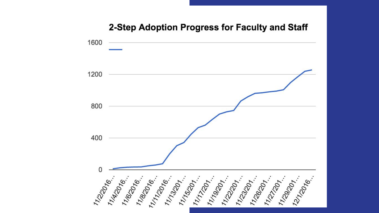# 2-Step Adoption Progress for Faculty and Staff 11/2016 - 11/2016 - 11/2017 - 11/2017 - 11/2017 - 11/2017 - 11/2017 - 11/2017 - 11/2017 - 11/2017 - 11/2017 - 1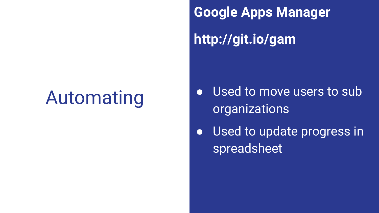# Automating

**Google Apps Manager http://git.io/gam**

- Used to move users to sub organizations
- Used to update progress in spreadsheet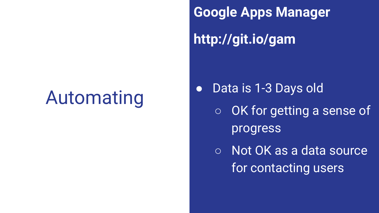# Automating

**Google Apps Manager http://git.io/gam**

- Data is 1-3 Days old
	- OK for getting a sense of progress
	- Not OK as a data source for contacting users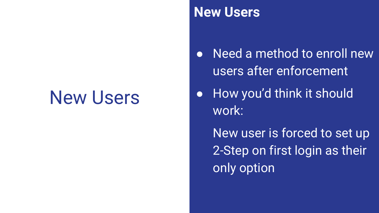#### **New Users**

● Need a method to enroll new users after enforcement

● How you'd think it should work:

New user is forced to set up 2-Step on first login as their only option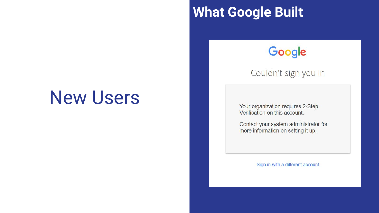#### **What Google Built**

#### Google

#### Couldn't sign you in

Your organization requires 2-Step Verification on this account.

Contact your system administrator for more information on setting it up.

Sign in with a different account

### New Users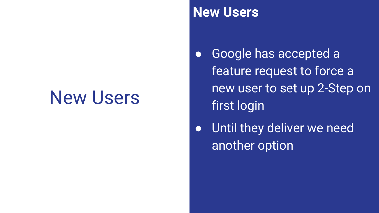#### **New Users**

- Google has accepted a feature request to force a new user to set up 2-Step on first login
- Until they deliver we need another option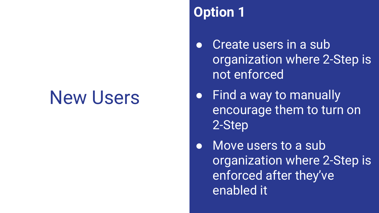#### **Option 1**

- Create users in a sub organization where 2-Step is not enforced
- Find a way to manually encourage them to turn on 2-Step
- Move users to a sub organization where 2-Step is enforced after they've enabled it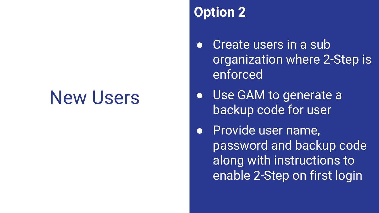#### **Option 2**

- Create users in a sub organization where 2-Step is enforced
- Use GAM to generate a backup code for user
- Provide user name, password and backup code along with instructions to enable 2-Step on first login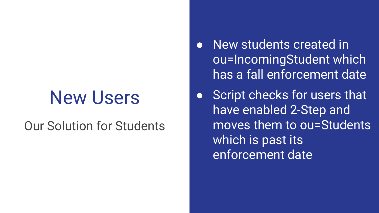#### Our Solution for Students

- **New students created in** ou=IncomingStudent which has a fall enforcement date
- Script checks for users that have enabled 2-Step and moves them to ou=Students which is past its enforcement date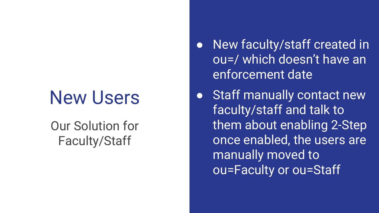#### Our Solution for Faculty/Staff

- New faculty/staff created in ou=/ which doesn't have an enforcement date
- Staff manually contact new faculty/staff and talk to them about enabling 2-Step once enabled, the users are manually moved to ou=Faculty or ou=Staff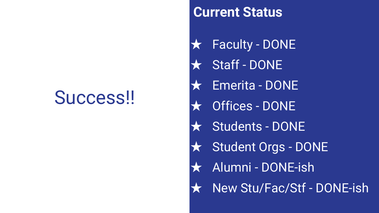### Success!!

#### **Current Status**

- **Faculty DONE**
- Staff DONE
- ★ Emerita DONE
	- **Offices DONE**
	- Students DONE
- ★ Student Orgs DONE
	- Alumni DONE-ish
	- New Stu/Fac/Stf DONE-ish